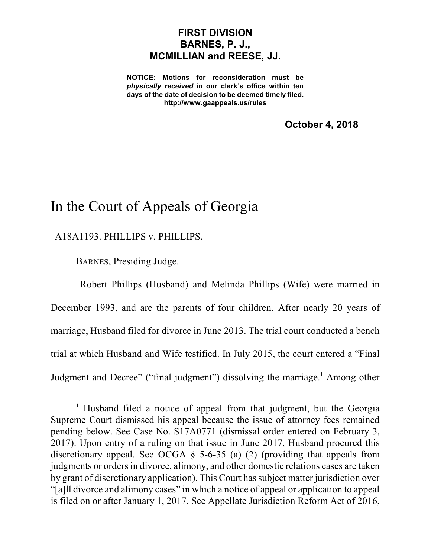## **FIRST DIVISION BARNES, P. J., MCMILLIAN and REESE, JJ.**

**NOTICE: Motions for reconsideration must be** *physically received* **in our clerk's office within ten days of the date of decision to be deemed timely filed. http://www.gaappeals.us/rules**

**October 4, 2018**

# In the Court of Appeals of Georgia

A18A1193. PHILLIPS v. PHILLIPS.

BARNES, Presiding Judge.

Robert Phillips (Husband) and Melinda Phillips (Wife) were married in December 1993, and are the parents of four children. After nearly 20 years of marriage, Husband filed for divorce in June 2013. The trial court conducted a bench trial at which Husband and Wife testified. In July 2015, the court entered a "Final Judgment and Decree" ("final judgment") dissolving the marriage.<sup>1</sup> Among other

<sup>&</sup>lt;sup>1</sup> Husband filed a notice of appeal from that judgment, but the Georgia Supreme Court dismissed his appeal because the issue of attorney fees remained pending below. See Case No. S17A0771 (dismissal order entered on February 3, 2017). Upon entry of a ruling on that issue in June 2017, Husband procured this discretionary appeal. See OCGA § 5-6-35 (a) (2) (providing that appeals from judgments or orders in divorce, alimony, and other domestic relations cases are taken by grant of discretionary application). This Court hassubject matter jurisdiction over "[a]ll divorce and alimony cases" in which a notice of appeal or application to appeal is filed on or after January 1, 2017. See Appellate Jurisdiction Reform Act of 2016,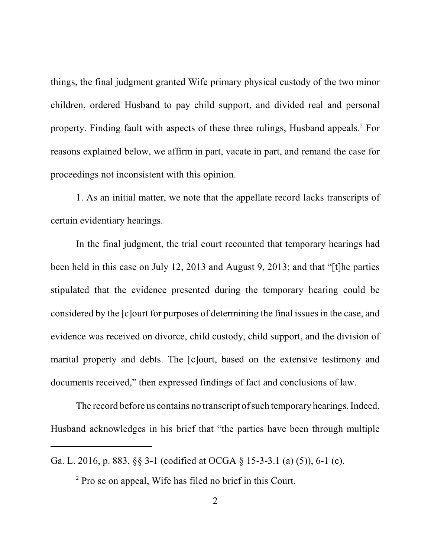things, the final judgment granted Wife primary physical custody of the two minor children, ordered Husband to pay child support, and divided real and personal property. Finding fault with aspects of these three rulings, Husband appeals. <sup>2</sup> For reasons explained below, we affirm in part, vacate in part, and remand the case for proceedings not inconsistent with this opinion.

1. As an initial matter, we note that the appellate record lacks transcripts of certain evidentiary hearings.

In the final judgment, the trial court recounted that temporary hearings had been held in this case on July 12, 2013 and August 9, 2013; and that "[t]he parties stipulated that the evidence presented during the temporary hearing could be considered by the [c]ourt for purposes of determining the final issuesin the case, and evidence was received on divorce, child custody, child support, and the division of marital property and debts. The [c]ourt, based on the extensive testimony and documents received," then expressed findings of fact and conclusions of law.

The record before us contains no transcript of such temporary hearings. Indeed, Husband acknowledges in his brief that "the parties have been through multiple

Ga. L. 2016, p. 883, §§ 3-1 (codified at OCGA § 15-3-3.1 (a) (5)), 6-1 (c).

<sup>&</sup>lt;sup>2</sup> Pro se on appeal, Wife has filed no brief in this Court.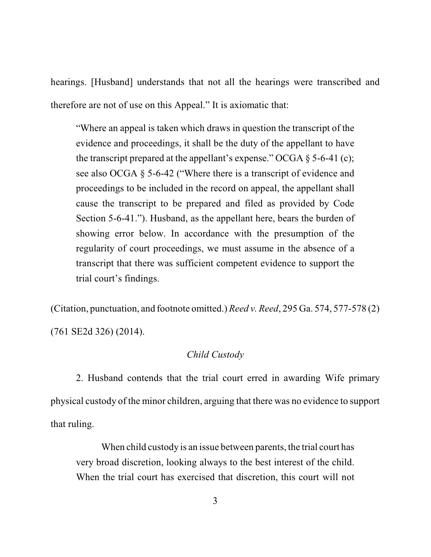hearings. [Husband] understands that not all the hearings were transcribed and therefore are not of use on this Appeal." It is axiomatic that:

"Where an appeal is taken which draws in question the transcript of the evidence and proceedings, it shall be the duty of the appellant to have the transcript prepared at the appellant's expense." OCGA  $\S$  5-6-41 (c); see also OCGA § 5-6-42 ("Where there is a transcript of evidence and proceedings to be included in the record on appeal, the appellant shall cause the transcript to be prepared and filed as provided by Code Section 5-6-41."). Husband, as the appellant here, bears the burden of showing error below. In accordance with the presumption of the regularity of court proceedings, we must assume in the absence of a transcript that there was sufficient competent evidence to support the trial court's findings.

(Citation, punctuation, and footnote omitted.) *Reed v. Reed*, 295 Ga. 574, 577-578 (2)

(761 SE2d 326) (2014).

### *Child Custody*

2. Husband contends that the trial court erred in awarding Wife primary physical custody of the minor children, arguing that there was no evidence to support that ruling.

When child custody is an issue between parents, the trial court has very broad discretion, looking always to the best interest of the child. When the trial court has exercised that discretion, this court will not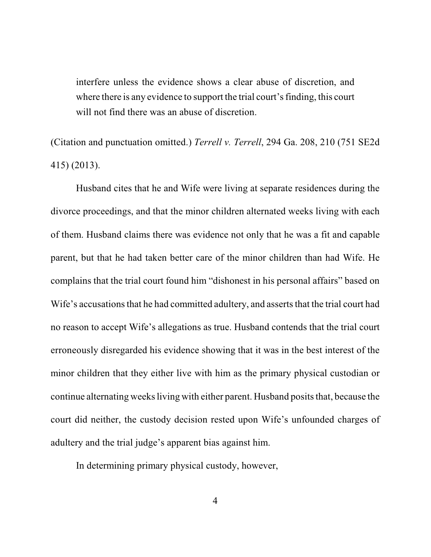interfere unless the evidence shows a clear abuse of discretion, and where there is any evidence to support the trial court's finding, this court will not find there was an abuse of discretion.

(Citation and punctuation omitted.) *Terrell v. Terrell*, 294 Ga. 208, 210 (751 SE2d 415) (2013).

Husband cites that he and Wife were living at separate residences during the divorce proceedings, and that the minor children alternated weeks living with each of them. Husband claims there was evidence not only that he was a fit and capable parent, but that he had taken better care of the minor children than had Wife. He complains that the trial court found him "dishonest in his personal affairs" based on Wife's accusations that he had committed adultery, and asserts that the trial court had no reason to accept Wife's allegations as true. Husband contends that the trial court erroneously disregarded his evidence showing that it was in the best interest of the minor children that they either live with him as the primary physical custodian or continue alternating weeks living with either parent. Husband posits that, because the court did neither, the custody decision rested upon Wife's unfounded charges of adultery and the trial judge's apparent bias against him.

In determining primary physical custody, however,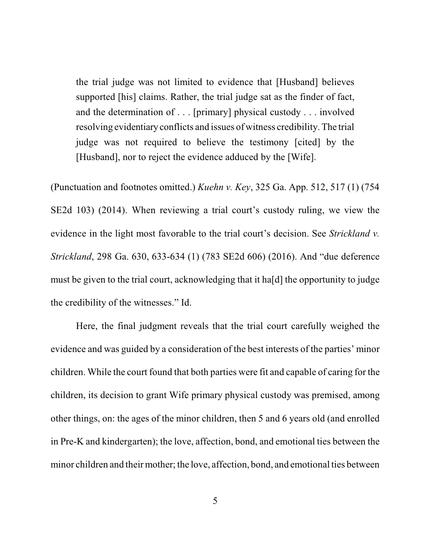the trial judge was not limited to evidence that [Husband] believes supported [his] claims. Rather, the trial judge sat as the finder of fact, and the determination of . . . [primary] physical custody . . . involved resolving evidentiary conflicts and issues of witness credibility. The trial judge was not required to believe the testimony [cited] by the [Husband], nor to reject the evidence adduced by the [Wife].

(Punctuation and footnotes omitted.) *Kuehn v. Key*, 325 Ga. App. 512, 517 (1) (754 SE2d 103) (2014). When reviewing a trial court's custody ruling, we view the evidence in the light most favorable to the trial court's decision. See *Strickland v. Strickland*, 298 Ga. 630, 633-634 (1) (783 SE2d 606) (2016). And "due deference must be given to the trial court, acknowledging that it ha[d] the opportunity to judge the credibility of the witnesses." Id.

Here, the final judgment reveals that the trial court carefully weighed the evidence and was guided by a consideration of the best interests of the parties' minor children. While the court found that both parties were fit and capable of caring for the children, its decision to grant Wife primary physical custody was premised, among other things, on: the ages of the minor children, then 5 and 6 years old (and enrolled in Pre-K and kindergarten); the love, affection, bond, and emotional ties between the minor children and their mother; the love, affection, bond, and emotional ties between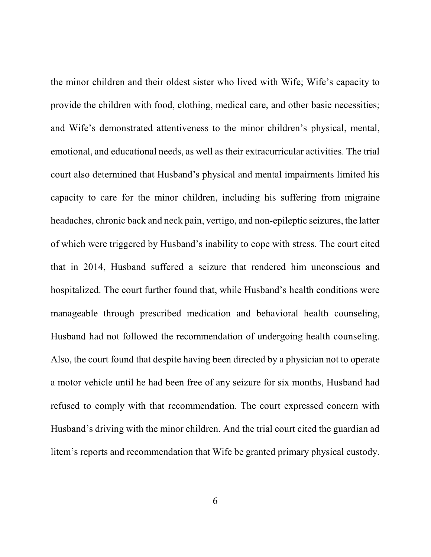the minor children and their oldest sister who lived with Wife; Wife's capacity to provide the children with food, clothing, medical care, and other basic necessities; and Wife's demonstrated attentiveness to the minor children's physical, mental, emotional, and educational needs, as well as their extracurricular activities. The trial court also determined that Husband's physical and mental impairments limited his capacity to care for the minor children, including his suffering from migraine headaches, chronic back and neck pain, vertigo, and non-epileptic seizures, the latter of which were triggered by Husband's inability to cope with stress. The court cited that in 2014, Husband suffered a seizure that rendered him unconscious and hospitalized. The court further found that, while Husband's health conditions were manageable through prescribed medication and behavioral health counseling, Husband had not followed the recommendation of undergoing health counseling. Also, the court found that despite having been directed by a physician not to operate a motor vehicle until he had been free of any seizure for six months, Husband had refused to comply with that recommendation. The court expressed concern with Husband's driving with the minor children. And the trial court cited the guardian ad litem's reports and recommendation that Wife be granted primary physical custody.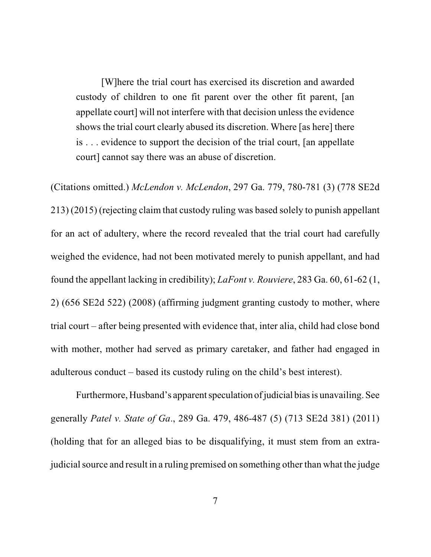[W]here the trial court has exercised its discretion and awarded custody of children to one fit parent over the other fit parent, [an appellate court] will not interfere with that decision unless the evidence shows the trial court clearly abused its discretion. Where [as here] there is . . . evidence to support the decision of the trial court, [an appellate court] cannot say there was an abuse of discretion.

(Citations omitted.) *McLendon v. McLendon*, 297 Ga. 779, 780-781 (3) (778 SE2d 213) (2015) (rejecting claim that custody ruling was based solely to punish appellant for an act of adultery, where the record revealed that the trial court had carefully weighed the evidence, had not been motivated merely to punish appellant, and had found the appellant lacking in credibility); *LaFont v. Rouviere*, 283 Ga. 60, 61-62 (1, 2) (656 SE2d 522) (2008) (affirming judgment granting custody to mother, where trial court – after being presented with evidence that, inter alia, child had close bond with mother, mother had served as primary caretaker, and father had engaged in adulterous conduct – based its custody ruling on the child's best interest).

Furthermore, Husband's apparent speculation of judicial bias is unavailing. See generally *Patel v. State of Ga*., 289 Ga. 479, 486-487 (5) (713 SE2d 381) (2011) (holding that for an alleged bias to be disqualifying, it must stem from an extrajudicial source and result in a ruling premised on something other than what the judge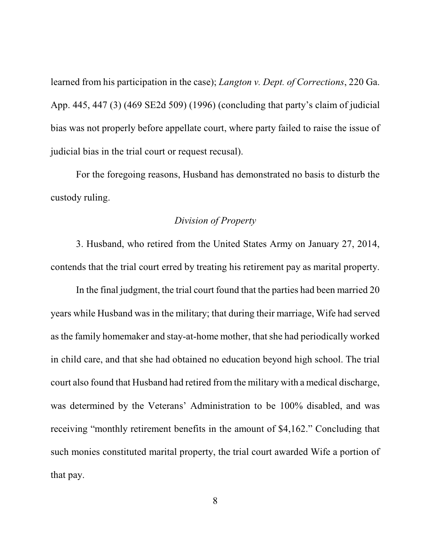learned from his participation in the case); *Langton v. Dept. of Corrections*, 220 Ga. App. 445, 447 (3) (469 SE2d 509) (1996) (concluding that party's claim of judicial bias was not properly before appellate court, where party failed to raise the issue of judicial bias in the trial court or request recusal).

For the foregoing reasons, Husband has demonstrated no basis to disturb the custody ruling.

#### *Division of Property*

3. Husband, who retired from the United States Army on January 27, 2014, contends that the trial court erred by treating his retirement pay as marital property.

In the final judgment, the trial court found that the parties had been married 20 years while Husband was in the military; that during their marriage, Wife had served as the family homemaker and stay-at-home mother, that she had periodically worked in child care, and that she had obtained no education beyond high school. The trial court also found that Husband had retired from the military with a medical discharge, was determined by the Veterans' Administration to be 100% disabled, and was receiving "monthly retirement benefits in the amount of \$4,162." Concluding that such monies constituted marital property, the trial court awarded Wife a portion of that pay.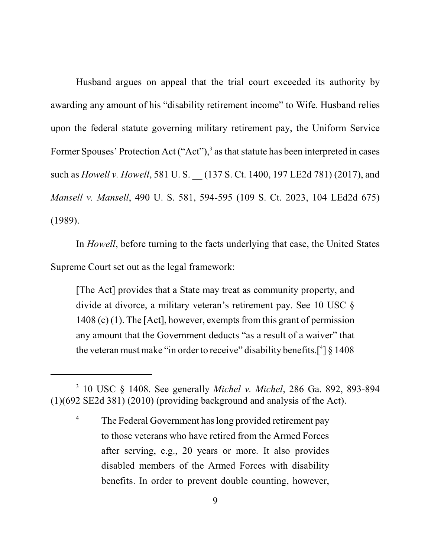Husband argues on appeal that the trial court exceeded its authority by awarding any amount of his "disability retirement income" to Wife. Husband relies upon the federal statute governing military retirement pay, the Uniform Service Former Spouses' Protection Act ("Act"),<sup>3</sup> as that statute has been interpreted in cases such as *Howell v. Howell*, 581 U. S. \_\_ (137 S. Ct. 1400, 197 LE2d 781) (2017), and *Mansell v. Mansell*, 490 U. S. 581, 594-595 (109 S. Ct. 2023, 104 LEd2d 675) (1989).

In *Howell*, before turning to the facts underlying that case, the United States Supreme Court set out as the legal framework:

[The Act] provides that a State may treat as community property, and divide at divorce, a military veteran's retirement pay. See 10 USC §  $1408$  (c) (1). The [Act], however, exempts from this grant of permission any amount that the Government deducts "as a result of a waiver" that the veteran must make "in order to receive" disability benefits.<sup>[4]</sup>  $\S 1408$ 

<sup>3</sup> 10 USC § 1408. See generally *Michel v. Michel*, 286 Ga. 892, 893-894 (1)(692 SE2d 381) (2010) (providing background and analysis of the Act).

<sup>&</sup>lt;sup>4</sup> The Federal Government has long provided retirement pay to those veterans who have retired from the Armed Forces after serving, e.g., 20 years or more. It also provides disabled members of the Armed Forces with disability benefits. In order to prevent double counting, however,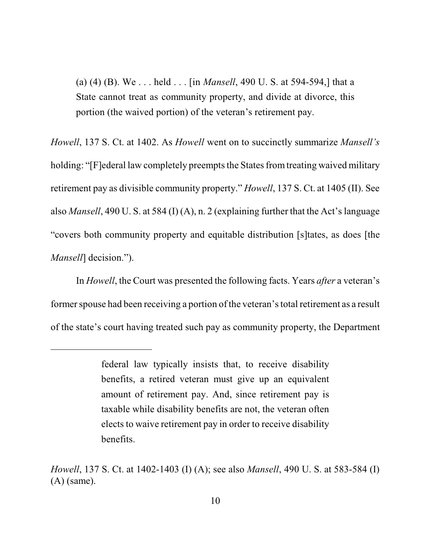(a) (4) (B). We . . . held . . . [in *Mansell*, 490 U. S. at 594-594,] that a State cannot treat as community property, and divide at divorce, this portion (the waived portion) of the veteran's retirement pay.

*Howell*, 137 S. Ct. at 1402. As *Howell* went on to succinctly summarize *Mansell's* holding: "[F]ederal law completely preempts the States from treating waived military retirement pay as divisible community property." *Howell*, 137 S. Ct. at 1405 (II). See also *Mansell*, 490 U. S. at 584 (I) (A), n. 2 (explaining further that the Act's language "covers both community property and equitable distribution [s]tates, as does [the *Mansell*] decision.").

In *Howell*, the Court was presented the following facts. Years *after* a veteran's former spouse had been receiving a portion of the veteran'stotal retirement as a result of the state's court having treated such pay as community property, the Department

federal law typically insists that, to receive disability benefits, a retired veteran must give up an equivalent amount of retirement pay. And, since retirement pay is taxable while disability benefits are not, the veteran often elects to waive retirement pay in order to receive disability benefits.

*Howell*, 137 S. Ct. at 1402-1403 (I) (A); see also *Mansell*, 490 U. S. at 583-584 (I) (A) (same).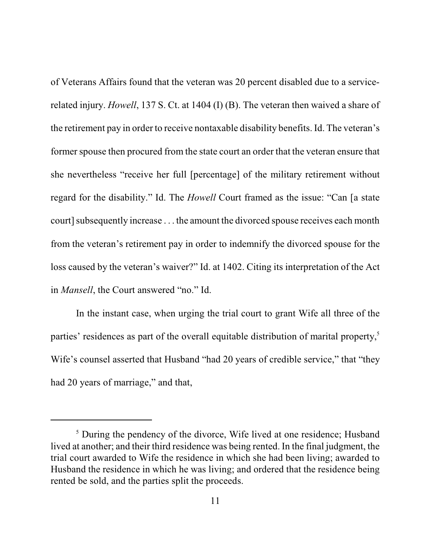of Veterans Affairs found that the veteran was 20 percent disabled due to a servicerelated injury. *Howell*, 137 S. Ct. at 1404 (I) (B). The veteran then waived a share of the retirement pay in order to receive nontaxable disability benefits. Id. The veteran's former spouse then procured from the state court an order that the veteran ensure that she nevertheless "receive her full [percentage] of the military retirement without regard for the disability." Id. The *Howell* Court framed as the issue: "Can [a state court] subsequently increase . . . the amount the divorced spouse receives each month from the veteran's retirement pay in order to indemnify the divorced spouse for the loss caused by the veteran's waiver?" Id. at 1402. Citing its interpretation of the Act in *Mansell*, the Court answered "no." Id.

In the instant case, when urging the trial court to grant Wife all three of the parties' residences as part of the overall equitable distribution of marital property,<sup>5</sup> Wife's counsel asserted that Husband "had 20 years of credible service," that "they had 20 years of marriage," and that,

<sup>&</sup>lt;sup>5</sup> During the pendency of the divorce, Wife lived at one residence; Husband lived at another; and their third residence was being rented. In the final judgment, the trial court awarded to Wife the residence in which she had been living; awarded to Husband the residence in which he was living; and ordered that the residence being rented be sold, and the parties split the proceeds.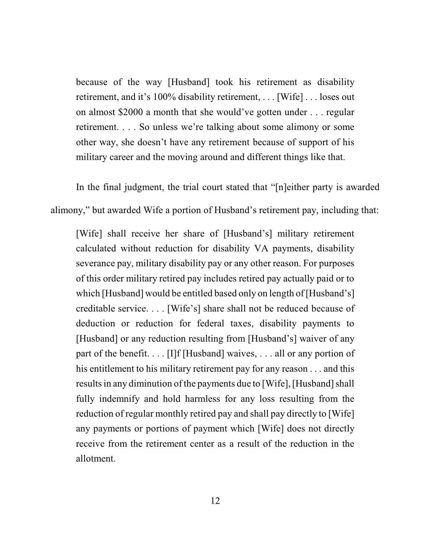because of the way [Husband] took his retirement as disability retirement, and it's 100% disability retirement, . . . [Wife] . . . loses out on almost \$2000 a month that she would've gotten under . . . regular retirement. . . . So unless we're talking about some alimony or some other way, she doesn't have any retirement because of support of his military career and the moving around and different things like that.

In the final judgment, the trial court stated that "[n]either party is awarded

alimony," but awarded Wife a portion of Husband's retirement pay, including that:

[Wife] shall receive her share of [Husband's] military retirement calculated without reduction for disability VA payments, disability severance pay, military disability pay or any other reason. For purposes of this order military retired pay includes retired pay actually paid or to which [Husband] would be entitled based only on length of [Husband's] creditable service. . . . [Wife's] share shall not be reduced because of deduction or reduction for federal taxes, disability payments to [Husband] or any reduction resulting from [Husband's] waiver of any part of the benefit. . . . [I]f [Husband] waives, . . . all or any portion of his entitlement to his military retirement pay for any reason . . . and this results in any diminution of the payments due to [Wife], [Husband] shall fully indemnify and hold harmless for any loss resulting from the reduction of regular monthly retired pay and shall pay directly to [Wife] any payments or portions of payment which [Wife] does not directly receive from the retirement center as a result of the reduction in the allotment.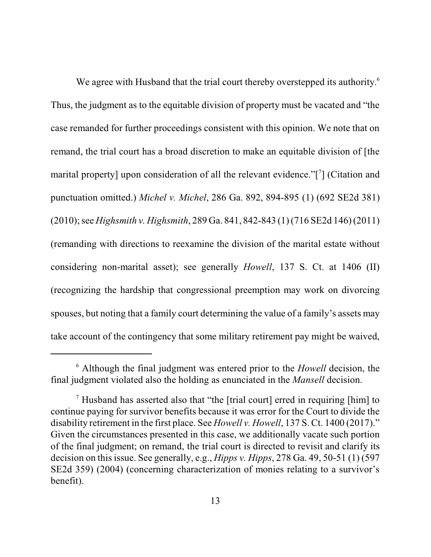We agree with Husband that the trial court thereby overstepped its authority.<sup>6</sup> Thus, the judgment as to the equitable division of property must be vacated and "the case remanded for further proceedings consistent with this opinion. We note that on remand, the trial court has a broad discretion to make an equitable division of [the marital property] upon consideration of all the relevant evidence."[7] (Citation and punctuation omitted.) *Michel v. Michel*, 286 Ga. 892, 894-895 (1) (692 SE2d 381) (2010);see *Highsmith v. Highsmith*, 289 Ga. 841, 842-843 (1) (716 SE2d 146) (2011) (remanding with directions to reexamine the division of the marital estate without considering non-marital asset); see generally *Howell*, 137 S. Ct. at 1406 (II) (recognizing the hardship that congressional preemption may work on divorcing spouses, but noting that a family court determining the value of a family's assets may take account of the contingency that some military retirement pay might be waived,

<sup>6</sup> Although the final judgment was entered prior to the *Howell* decision, the final judgment violated also the holding as enunciated in the *Mansell* decision.

<sup>7</sup> Husband has asserted also that "the [trial court] erred in requiring [him] to continue paying for survivor benefits because it was error for the Court to divide the disability retirement in the first place. See *Howell v. Howell*, 137 S. Ct. 1400 (2017)." Given the circumstances presented in this case, we additionally vacate such portion of the final judgment; on remand, the trial court is directed to revisit and clarify its decision on thisissue. See generally, e.g., *Hipps v. Hipps*, 278 Ga. 49, 50-51 (1) (597 SE2d 359) (2004) (concerning characterization of monies relating to a survivor's benefit).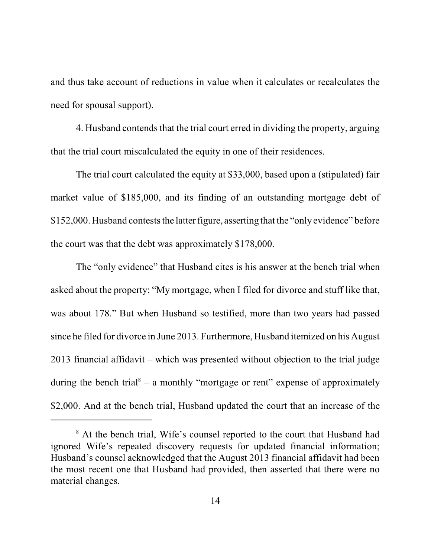and thus take account of reductions in value when it calculates or recalculates the need for spousal support).

4. Husband contends that the trial court erred in dividing the property, arguing that the trial court miscalculated the equity in one of their residences.

The trial court calculated the equity at \$33,000, based upon a (stipulated) fair market value of \$185,000, and its finding of an outstanding mortgage debt of \$152,000. Husband contests the latter figure, asserting that the "only evidence" before the court was that the debt was approximately \$178,000.

The "only evidence" that Husband cites is his answer at the bench trial when asked about the property: "My mortgage, when I filed for divorce and stuff like that, was about 178." But when Husband so testified, more than two years had passed since he filed for divorce in June 2013. Furthermore, Husband itemized on his August 2013 financial affidavit – which was presented without objection to the trial judge during the bench trial<sup>8</sup> – a monthly "mortgage or rent" expense of approximately \$2,000. And at the bench trial, Husband updated the court that an increase of the

<sup>&</sup>lt;sup>8</sup> At the bench trial, Wife's counsel reported to the court that Husband had ignored Wife's repeated discovery requests for updated financial information; Husband's counsel acknowledged that the August 2013 financial affidavit had been the most recent one that Husband had provided, then asserted that there were no material changes.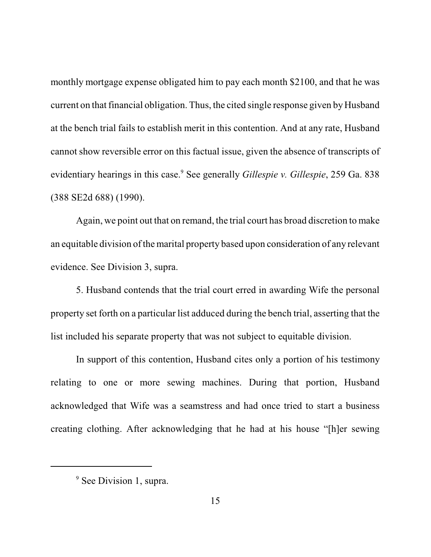monthly mortgage expense obligated him to pay each month \$2100, and that he was current on that financial obligation. Thus, the cited single response given by Husband at the bench trial fails to establish merit in this contention. And at any rate, Husband cannot show reversible error on this factual issue, given the absence of transcripts of evidentiary hearings in this case.<sup>9</sup> See generally *Gillespie v. Gillespie*, 259 Ga. 838 (388 SE2d 688) (1990).

Again, we point out that on remand, the trial court has broad discretion to make an equitable division of the marital property based upon consideration of any relevant evidence. See Division 3, supra.

5. Husband contends that the trial court erred in awarding Wife the personal property set forth on a particular list adduced during the bench trial, asserting that the list included his separate property that was not subject to equitable division.

In support of this contention, Husband cites only a portion of his testimony relating to one or more sewing machines. During that portion, Husband acknowledged that Wife was a seamstress and had once tried to start a business creating clothing. After acknowledging that he had at his house "[h]er sewing

<sup>&</sup>lt;sup>9</sup> See Division 1, supra.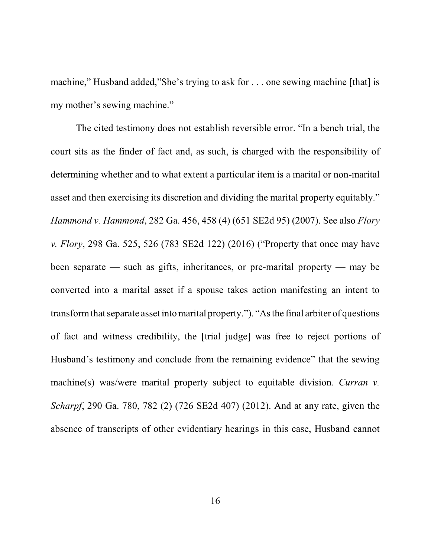machine," Husband added,"She's trying to ask for . . . one sewing machine [that] is my mother's sewing machine."

The cited testimony does not establish reversible error. "In a bench trial, the court sits as the finder of fact and, as such, is charged with the responsibility of determining whether and to what extent a particular item is a marital or non-marital asset and then exercising its discretion and dividing the marital property equitably." *Hammond v. Hammond*, 282 Ga. 456, 458 (4) (651 SE2d 95) (2007). See also *Flory v. Flory*, 298 Ga. 525, 526 (783 SE2d 122) (2016) ("Property that once may have been separate — such as gifts, inheritances, or pre-marital property — may be converted into a marital asset if a spouse takes action manifesting an intent to transform that separate asset into marital property."). "As the final arbiter of questions of fact and witness credibility, the [trial judge] was free to reject portions of Husband's testimony and conclude from the remaining evidence" that the sewing machine(s) was/were marital property subject to equitable division. *Curran v*. *Scharpf*, 290 Ga. 780, 782 (2) (726 SE2d 407) (2012). And at any rate, given the absence of transcripts of other evidentiary hearings in this case, Husband cannot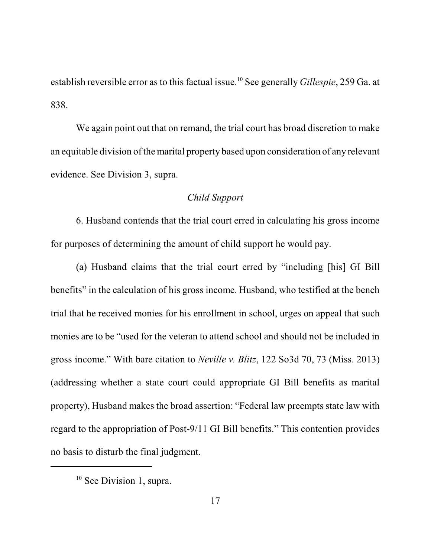establish reversible error as to this factual issue.<sup>10</sup> See generally *Gillespie*, 259 Ga. at 838.

We again point out that on remand, the trial court has broad discretion to make an equitable division of the marital property based upon consideration of any relevant evidence. See Division 3, supra.

### *Child Support*

6. Husband contends that the trial court erred in calculating his gross income for purposes of determining the amount of child support he would pay.

(a) Husband claims that the trial court erred by "including [his] GI Bill benefits" in the calculation of his gross income. Husband, who testified at the bench trial that he received monies for his enrollment in school, urges on appeal that such monies are to be "used for the veteran to attend school and should not be included in gross income." With bare citation to *Neville v. Blitz*, 122 So3d 70, 73 (Miss. 2013) (addressing whether a state court could appropriate GI Bill benefits as marital property), Husband makes the broad assertion: "Federal law preempts state law with regard to the appropriation of Post-9/11 GI Bill benefits." This contention provides no basis to disturb the final judgment.

<sup>&</sup>lt;sup>10</sup> See Division 1, supra.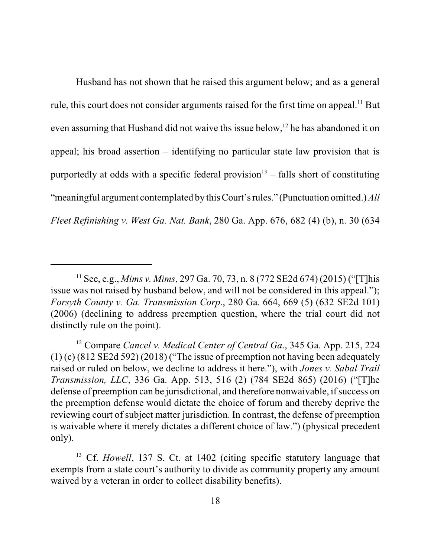Husband has not shown that he raised this argument below; and as a general rule, this court does not consider arguments raised for the first time on appeal.<sup>11</sup> But even assuming that Husband did not waive ths issue below,<sup>12</sup> he has abandoned it on appeal; his broad assertion – identifying no particular state law provision that is purportedly at odds with a specific federal provision 13 – falls short of constituting "meaningful argument contemplated by this Court's rules." (Punctuation omitted.) *All Fleet Refinishing v. West Ga. Nat. Bank*, 280 Ga. App. 676, 682 (4) (b), n. 30 (634

<sup>11</sup> See, e.g., *Mims v. Mims*, 297 Ga. 70, 73, n. 8 (772 SE2d 674) (2015) ("[T]his issue was not raised by husband below, and will not be considered in this appeal."); *Forsyth County v. Ga. Transmission Corp*., 280 Ga. 664, 669 (5) (632 SE2d 101) (2006) (declining to address preemption question, where the trial court did not distinctly rule on the point).

<sup>12</sup> Compare *Cancel v. Medical Center of Central Ga*., 345 Ga. App. 215, 224  $(1)$  (c) (812 SE2d 592) (2018) ("The issue of preemption not having been adequately raised or ruled on below, we decline to address it here."), with *Jones v. Sabal Trail Transmission, LLC*, 336 Ga. App. 513, 516 (2) (784 SE2d 865) (2016) ("[T]he defense of preemption can be jurisdictional, and therefore nonwaivable, if success on the preemption defense would dictate the choice of forum and thereby deprive the reviewing court of subject matter jurisdiction. In contrast, the defense of preemption is waivable where it merely dictates a different choice of law.") (physical precedent only).

<sup>&</sup>lt;sup>13</sup> Cf. *Howell*, 137 S. Ct. at 1402 (citing specific statutory language that exempts from a state court's authority to divide as community property any amount waived by a veteran in order to collect disability benefits).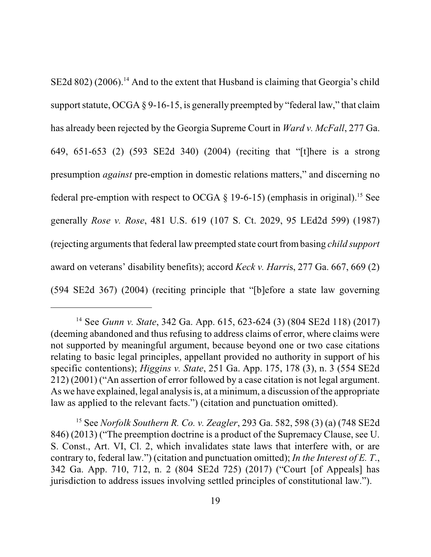$SE2d 802$  (2006).<sup>14</sup> And to the extent that Husband is claiming that Georgia's child support statute, OCGA  $\S 9$ -16-15, is generally preempted by "federal law," that claim has already been rejected by the Georgia Supreme Court in *Ward v. McFall*, 277 Ga. 649, 651-653 (2) (593 SE2d 340) (2004) (reciting that "[t]here is a strong presumption *against* pre-emption in domestic relations matters," and discerning no federal pre-emption with respect to OCGA  $\S$  19-6-15) (emphasis in original).<sup>15</sup> See generally *Rose v. Rose*, 481 U.S. 619 (107 S. Ct. 2029, 95 LEd2d 599) (1987) (rejecting arguments that federal law preempted state court from basing *child support* award on veterans' disability benefits); accord *Keck v. Harri*s, 277 Ga. 667, 669 (2) (594 SE2d 367) (2004) (reciting principle that "[b]efore a state law governing

<sup>14</sup> See *Gunn v. State*, 342 Ga. App. 615, 623-624 (3) (804 SE2d 118) (2017) (deeming abandoned and thus refusing to address claims of error, where claims were not supported by meaningful argument, because beyond one or two case citations relating to basic legal principles, appellant provided no authority in support of his specific contentions); *Higgins v. State*, 251 Ga. App. 175, 178 (3), n. 3 (554 SE2d 212) (2001) ("An assertion of error followed by a case citation is not legal argument. As we have explained, legal analysis is, at a minimum, a discussion of the appropriate law as applied to the relevant facts.") (citation and punctuation omitted).

<sup>15</sup> See *Norfolk Southern R. Co. v. Zeagler*, 293 Ga. 582, 598 (3) (a) (748 SE2d 846) (2013) ("The preemption doctrine is a product of the Supremacy Clause, see U. S. Const., Art. VI, Cl. 2, which invalidates state laws that interfere with, or are contrary to, federal law.") (citation and punctuation omitted); *In the Interest of E. T*., 342 Ga. App. 710, 712, n. 2 (804 SE2d 725) (2017) ("Court [of Appeals] has jurisdiction to address issues involving settled principles of constitutional law.").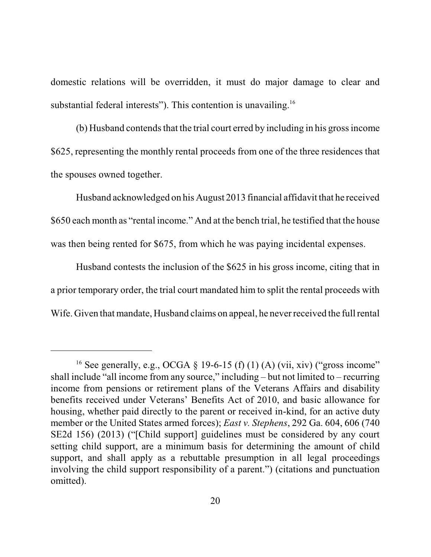domestic relations will be overridden, it must do major damage to clear and substantial federal interests"). This contention is unavailing.<sup>16</sup>

(b) Husband contends that the trial court erred by including in his gross income \$625, representing the monthly rental proceeds from one of the three residences that the spouses owned together.

Husband acknowledged on his August 2013 financial affidavit that he received \$650 each month as "rental income." And at the bench trial, he testified that the house was then being rented for \$675, from which he was paying incidental expenses.

Husband contests the inclusion of the \$625 in his gross income, citing that in a prior temporary order, the trial court mandated him to split the rental proceeds with Wife. Given that mandate, Husband claims on appeal, he never received the full rental

<sup>&</sup>lt;sup>16</sup> See generally, e.g., OCGA § 19-6-15 (f) (1) (A) (vii, xiv) ("gross income" shall include "all income from any source," including – but not limited to – recurring income from pensions or retirement plans of the Veterans Affairs and disability benefits received under Veterans' Benefits Act of 2010, and basic allowance for housing, whether paid directly to the parent or received in-kind, for an active duty member or the United States armed forces); *East v. Stephens*, 292 Ga. 604, 606 (740 SE2d 156) (2013) ("[Child support] guidelines must be considered by any court setting child support, are a minimum basis for determining the amount of child support, and shall apply as a rebuttable presumption in all legal proceedings involving the child support responsibility of a parent.") (citations and punctuation omitted).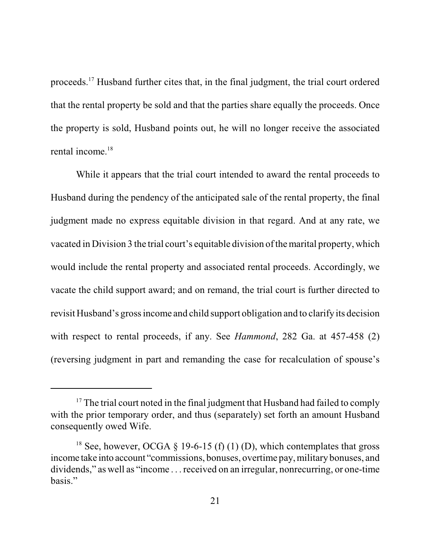proceeds.<sup>17</sup> Husband further cites that, in the final judgment, the trial court ordered that the rental property be sold and that the parties share equally the proceeds. Once the property is sold, Husband points out, he will no longer receive the associated rental income.<sup>18</sup>

While it appears that the trial court intended to award the rental proceeds to Husband during the pendency of the anticipated sale of the rental property, the final judgment made no express equitable division in that regard. And at any rate, we vacated in Division 3 the trial court's equitable division of the marital property, which would include the rental property and associated rental proceeds. Accordingly, we vacate the child support award; and on remand, the trial court is further directed to revisit Husband's grossincome and child support obligation and to clarify its decision with respect to rental proceeds, if any. See *Hammond*, 282 Ga. at 457-458 (2) (reversing judgment in part and remanding the case for recalculation of spouse's

<sup>&</sup>lt;sup>17</sup> The trial court noted in the final judgment that Husband had failed to comply with the prior temporary order, and thus (separately) set forth an amount Husband consequently owed Wife.

<sup>&</sup>lt;sup>18</sup> See, however, OCGA  $\S$  19-6-15 (f) (1) (D), which contemplates that gross income take into account "commissions, bonuses, overtime pay, military bonuses, and dividends," as well as "income . . . received on an irregular, nonrecurring, or one-time basis."